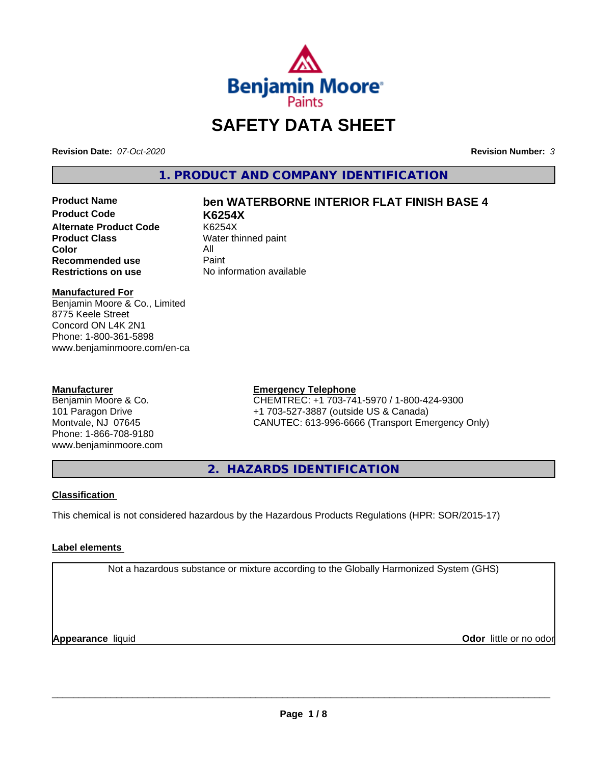

# **SAFETY DATA SHEET**

**Revision Date:** *07-Oct-2020* **Revision Number:** *3*

**1. PRODUCT AND COMPANY IDENTIFICATION**

**Product Code K6254X Alternate Product Code** K6254X<br> **Product Class** Water th **Color** All All<br>**Recommended use** Paint **Recommended use**<br>Restrictions on use

# **Product Name ben WATERBORNE INTERIOR FLAT FINISH BASE 4**

**Water thinned paint Restrictions on use** No information available

### **Manufactured For**

Benjamin Moore & Co., Limited 8775 Keele Street Concord ON L4K 2N1 Phone: 1-800-361-5898 www.benjaminmoore.com/en-ca

### **Manufacturer**

Benjamin Moore & Co. 101 Paragon Drive Montvale, NJ 07645 Phone: 1-866-708-9180 www.benjaminmoore.com

### **Emergency Telephone**

CHEMTREC: +1 703-741-5970 / 1-800-424-9300 +1 703-527-3887 (outside US & Canada) CANUTEC: 613-996-6666 (Transport Emergency Only)

**2. HAZARDS IDENTIFICATION**

### **Classification**

This chemical is not considered hazardous by the Hazardous Products Regulations (HPR: SOR/2015-17)

### **Label elements**

Not a hazardous substance or mixture according to the Globally Harmonized System (GHS)

**Appearance** liquid **CODO** *Appearance liquid* **Odor** *CODO CODO* **<b>***CODO CODO CODO CODO CODO*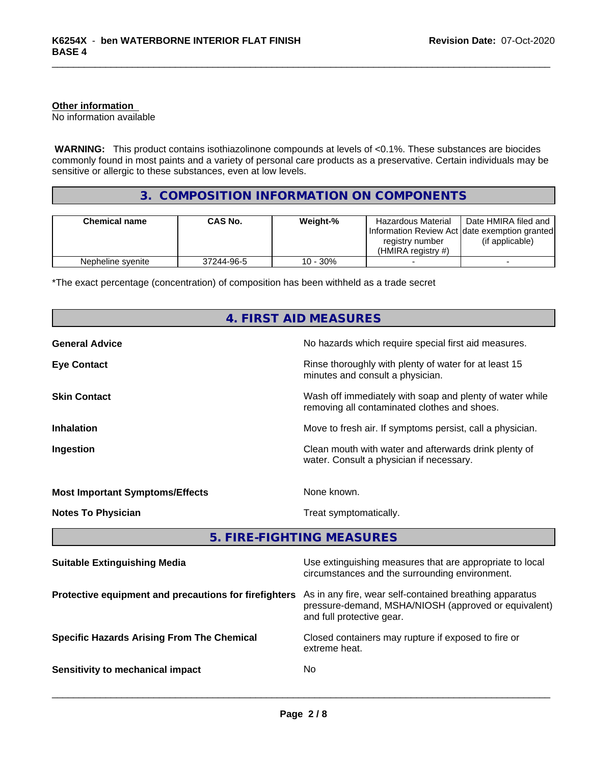### **Other information**

No information available

 **WARNING:** This product contains isothiazolinone compounds at levels of <0.1%. These substances are biocides commonly found in most paints and a variety of personal care products as a preservative. Certain individuals may be sensitive or allergic to these substances, even at low levels.

### **3. COMPOSITION INFORMATION ON COMPONENTS**

| <b>Chemical name</b> | <b>CAS No.</b> | Weight-% | Hazardous Material<br>Information Review Act Idate exemption granted<br>registry number<br>$(HMIRA$ registry #) | Date HMIRA filed and<br>(if applicable) |
|----------------------|----------------|----------|-----------------------------------------------------------------------------------------------------------------|-----------------------------------------|
| Nepheline syenite    | 37244-96-5     | 10 - 30% |                                                                                                                 |                                         |

\*The exact percentage (concentration) of composition has been withheld as a trade secret

# **4. FIRST AID MEASURES General Advice** No hazards which require special first aid measures. **Eye Contact Exercise 2.1 All 2.1 All 2.1 All 2.1 All 2.1 All 2.1 All 2.1 All 2.1 All 2.1 All 2.1 All 2.1 All 2.1 All 2.1 All 2.1 All 2.1 All 2.1 All 2.1 All 2.1 All 2.1 All 2.1 All 2.1 All 2.1 All 2.1 All 2.1 All 2.1 Al** minutes and consult a physician. **Skin Contact** Mash of immediately with soap and plenty of water while removing all contaminated clothes and shoes. **Inhalation** Move to fresh air. If symptoms persist, call a physician. **Ingestion Ingestion Clean mouth with water and afterwards drink plenty of** water. Consult a physician if necessary. **Most Important Symptoms/Effects** None known. **Notes To Physician Treat symptomatically.** Treat symptomatically. **5. FIRE-FIGHTING MEASURES Suitable Extinguishing Media** Media Use extinguishing measures that are appropriate to local circumstances and the surrounding environment. **Protective equipment and precautions for firefighters** As in any fire, wear self-contained breathing apparatus pressure-demand, MSHA/NIOSH (approved or equivalent) and full protective gear. **Specific Hazards Arising From The Chemical Closed containers may rupture if exposed to fire or** extreme heat. **Sensitivity to mechanical impact** No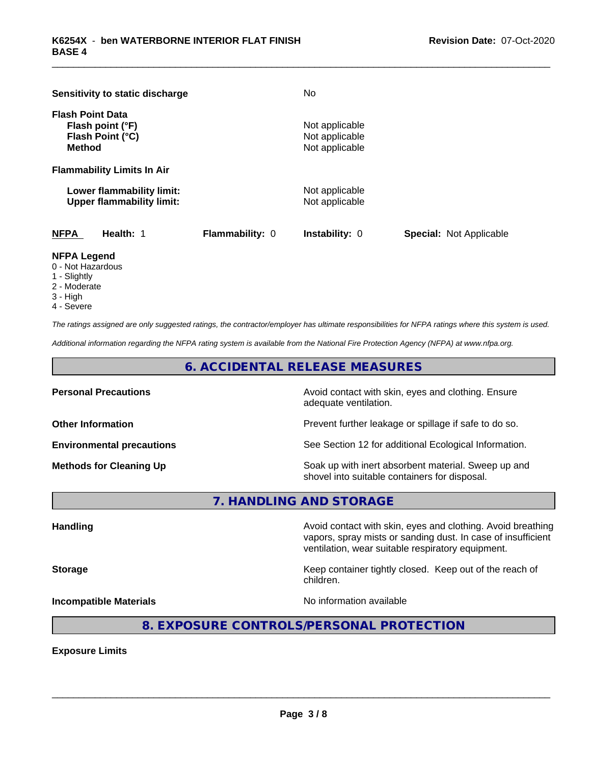| Sensitivity to static discharge                                                  |                        | No                                                 |                                |
|----------------------------------------------------------------------------------|------------------------|----------------------------------------------------|--------------------------------|
| <b>Flash Point Data</b><br>Flash point (°F)<br>Flash Point (°C)<br><b>Method</b> |                        | Not applicable<br>Not applicable<br>Not applicable |                                |
| <b>Flammability Limits In Air</b>                                                |                        |                                                    |                                |
| Lower flammability limit:<br><b>Upper flammability limit:</b>                    |                        | Not applicable<br>Not applicable                   |                                |
| <b>NFPA</b><br>Health: 1                                                         | <b>Flammability: 0</b> | <b>Instability: 0</b>                              | <b>Special: Not Applicable</b> |

### **NFPA Legend**

- 0 Not Hazardous
- 1 Slightly
- 2 Moderate
- 3 High
- 4 Severe

*The ratings assigned are only suggested ratings, the contractor/employer has ultimate responsibilities for NFPA ratings where this system is used.*

*Additional information regarding the NFPA rating system is available from the National Fire Protection Agency (NFPA) at www.nfpa.org.*

**6. ACCIDENTAL RELEASE MEASURES**

**Personal Precautions Avoid contact with skin, eyes and clothing. Ensure** Avoid contact with skin, eyes and clothing. Ensure adequate ventilation.

**Other Information Discription Prevent further leakage or spillage if safe to do so.** 

**Environmental precautions** See Section 12 for additional Ecological Information.

**Methods for Cleaning Up Example 20 Soak** up with inert absorbent material. Sweep up and shovel into suitable containers for disposal.

**7. HANDLING AND STORAGE**

**Handling Handling Avoid contact with skin, eyes and clothing. Avoid breathing** vapors, spray mists or sanding dust. In case of insufficient ventilation, wear suitable respiratory equipment.

**Storage Keep container tightly closed. Keep out of the reach of Keep Keep container tightly closed. Keep out of the reach of** 

**Incompatible Materials No information available No** information available

 $\overline{\phantom{a}}$  ,  $\overline{\phantom{a}}$  ,  $\overline{\phantom{a}}$  ,  $\overline{\phantom{a}}$  ,  $\overline{\phantom{a}}$  ,  $\overline{\phantom{a}}$  ,  $\overline{\phantom{a}}$  ,  $\overline{\phantom{a}}$  ,  $\overline{\phantom{a}}$  ,  $\overline{\phantom{a}}$  ,  $\overline{\phantom{a}}$  ,  $\overline{\phantom{a}}$  ,  $\overline{\phantom{a}}$  ,  $\overline{\phantom{a}}$  ,  $\overline{\phantom{a}}$  ,  $\overline{\phantom{a}}$ 

### **8. EXPOSURE CONTROLS/PERSONAL PROTECTION**

children.

**Exposure Limits**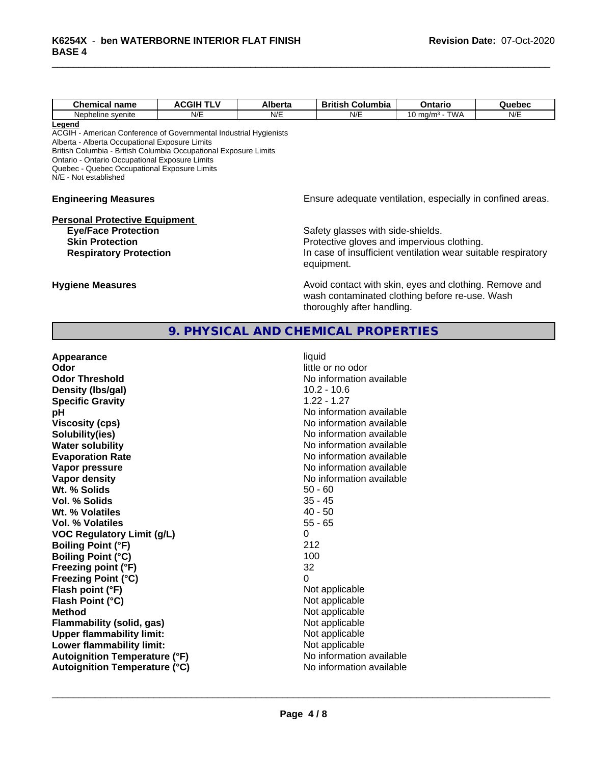| <b>Chemical name</b> | <b>ACGIH TLV</b><br>nu | Alberta | <b>British</b><br>. .<br>Columbia | Ontario                           | Quebec |
|----------------------|------------------------|---------|-----------------------------------|-----------------------------------|--------|
| Nepheline svenite    | N/E                    | N/E     | N/E                               | <b>TWA</b><br>0 ma/m <sup>3</sup> | N/E    |
| <u>Legend</u>        |                        |         |                                   |                                   |        |

ACGIH - American Conference of Governmental Industrial Hygienists

Alberta - Alberta Occupational Exposure Limits

British Columbia - British Columbia Occupational Exposure Limits

Ontario - Ontario Occupational Exposure Limits Quebec - Quebec Occupational Exposure Limits

N/E - Not established

### **Personal Protective Equipment**

### **Engineering Measures Engineering Measures Engineering Measures Ensure adequate ventilation, especially in confined areas.**

**Eye/Face Protection**<br>
Safety glasses with side-shields.<br> **Skin Protection**<br>
Protective gloves and impervious Protective gloves and impervious clothing. **Respiratory Protection In case of insufficient ventilation wear suitable respiratory** equipment.

**Hygiene Measures Avoid contact with skin, eyes and clothing. Remove and Avoid contact with skin, eyes and clothing. Remove and Avoid contact with skin, eyes and clothing. Remove and** wash contaminated clothing before re-use. Wash thoroughly after handling.

### **9. PHYSICAL AND CHEMICAL PROPERTIES**

| Appearance                           | liquid                   |
|--------------------------------------|--------------------------|
| Odor                                 | little or no odor        |
| <b>Odor Threshold</b>                | No information available |
| Density (Ibs/gal)                    | $10.2 - 10.6$            |
| <b>Specific Gravity</b>              | $1.22 - 1.27$            |
| рH                                   | No information available |
| <b>Viscosity (cps)</b>               | No information available |
| Solubility(ies)                      | No information available |
| <b>Water solubility</b>              | No information available |
| <b>Evaporation Rate</b>              | No information available |
| Vapor pressure                       | No information available |
| <b>Vapor density</b>                 | No information available |
| Wt. % Solids                         | $50 - 60$                |
| Vol. % Solids                        | $35 - 45$                |
| Wt. % Volatiles                      | $40 - 50$                |
| Vol. % Volatiles                     | $55 - 65$                |
| <b>VOC Regulatory Limit (g/L)</b>    | 0                        |
| <b>Boiling Point (°F)</b>            | 212                      |
| <b>Boiling Point (°C)</b>            | 100                      |
| Freezing point (°F)                  | 32                       |
| <b>Freezing Point (°C)</b>           | 0                        |
| Flash point (°F)                     | Not applicable           |
| Flash Point (°C)                     | Not applicable           |
| <b>Method</b>                        | Not applicable           |
| <b>Flammability (solid, gas)</b>     | Not applicable           |
| <b>Upper flammability limit:</b>     | Not applicable           |
| Lower flammability limit:            | Not applicable           |
| <b>Autoignition Temperature (°F)</b> | No information available |
| <b>Autoignition Temperature (°C)</b> | No information available |
|                                      |                          |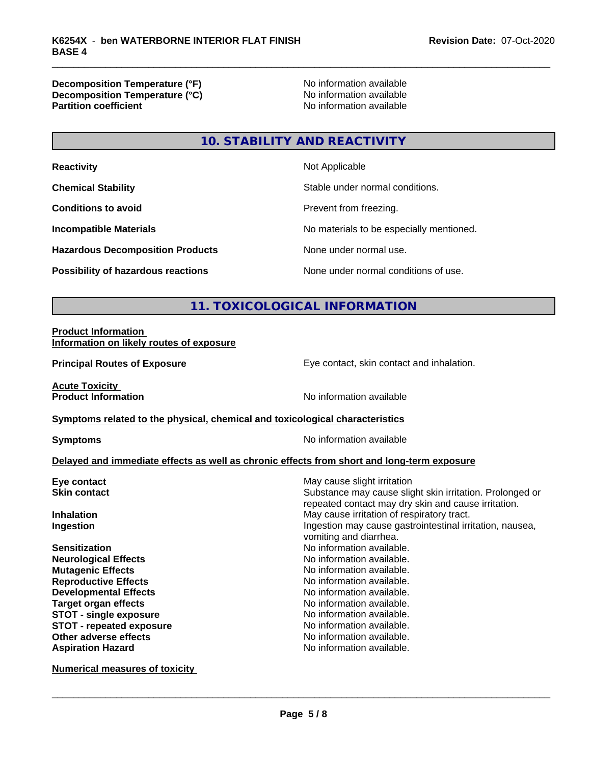**Decomposition Temperature (°F)**<br> **Decomposition Temperature (°C)** No information available **Decomposition Temperature (°C)**<br>Partition coefficient

**No information available** 

### **10. STABILITY AND REACTIVITY**

| <b>Reactivity</b>                         | Not Applicable                           |
|-------------------------------------------|------------------------------------------|
| <b>Chemical Stability</b>                 | Stable under normal conditions.          |
| <b>Conditions to avoid</b>                | Prevent from freezing.                   |
| <b>Incompatible Materials</b>             | No materials to be especially mentioned. |
| <b>Hazardous Decomposition Products</b>   | None under normal use.                   |
| <b>Possibility of hazardous reactions</b> | None under normal conditions of use.     |

### **11. TOXICOLOGICAL INFORMATION**

### **Product Information Information on likely routes of exposure**

**Principal Routes of Exposure Exposure** Eye contact, skin contact and inhalation.

**Acute Toxicity<br>Product Information** 

**No information available** 

### **Symptoms related to the physical, chemical and toxicological characteristics**

**Symptoms** No information available

### **Delayed and immediate effects as well as chronic effects from short and long-term exposure**

| Eye contact                   | May cause slight irritation                                                                                     |
|-------------------------------|-----------------------------------------------------------------------------------------------------------------|
| <b>Skin contact</b>           | Substance may cause slight skin irritation. Prolonged or<br>repeated contact may dry skin and cause irritation. |
| <b>Inhalation</b>             | May cause irritation of respiratory tract.                                                                      |
| Ingestion                     | Ingestion may cause gastrointestinal irritation, nausea,<br>vomiting and diarrhea.                              |
| <b>Sensitization</b>          | No information available.                                                                                       |
| <b>Neurological Effects</b>   | No information available.                                                                                       |
| <b>Mutagenic Effects</b>      | No information available.                                                                                       |
| <b>Reproductive Effects</b>   | No information available.                                                                                       |
| <b>Developmental Effects</b>  | No information available.                                                                                       |
| <b>Target organ effects</b>   | No information available.                                                                                       |
| <b>STOT - single exposure</b> | No information available.                                                                                       |
| STOT - repeated exposure      | No information available.                                                                                       |
| Other adverse effects         | No information available.                                                                                       |
| <b>Aspiration Hazard</b>      | No information available.                                                                                       |
|                               |                                                                                                                 |

**Numerical measures of toxicity**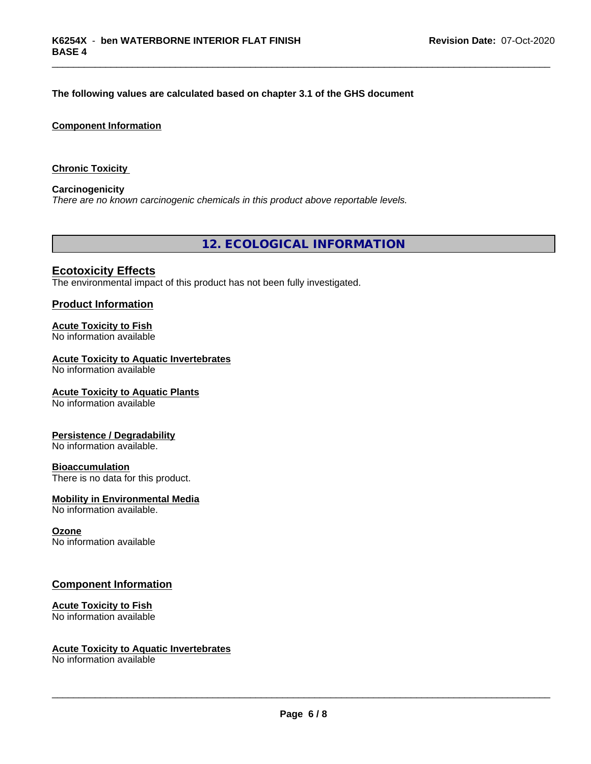### **The following values are calculated based on chapter 3.1 of the GHS document**

### **Component Information**

**Chronic Toxicity**

**Carcinogenicity** *There are no known carcinogenic chemicals in this product above reportable levels.*

**12. ECOLOGICAL INFORMATION**

### **Ecotoxicity Effects**

The environmental impact of this product has not been fully investigated.

### **Product Information**

## **Acute Toxicity to Fish**

No information available

### **Acute Toxicity to Aquatic Invertebrates**

No information available

### **Acute Toxicity to Aquatic Plants**

No information available

### **Persistence / Degradability**

No information available.

### **Bioaccumulation**

There is no data for this product.

### **Mobility in Environmental Media**

No information available.

### **Ozone**

No information available

### **Component Information**

### **Acute Toxicity to Fish**

No information available

### **Acute Toxicity to Aquatic Invertebrates**

No information available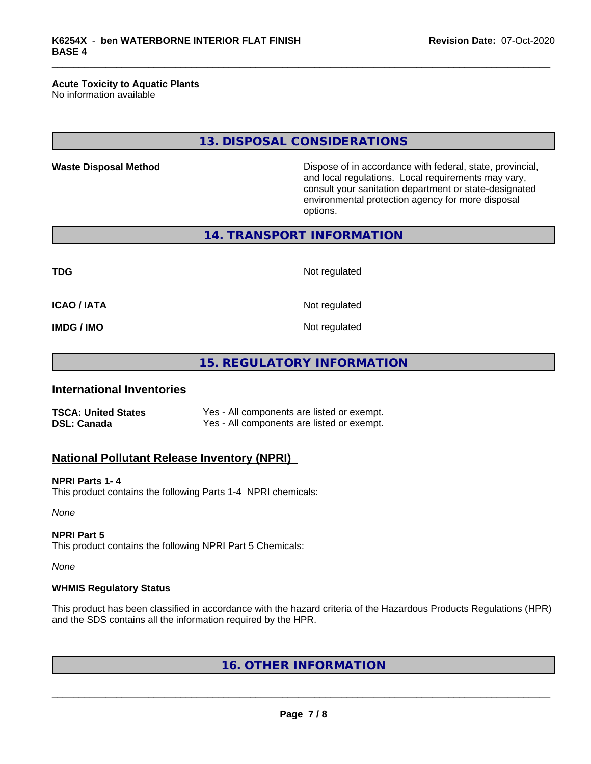### **Acute Toxicity to Aquatic Plants**

No information available

**13. DISPOSAL CONSIDERATIONS**

**Waste Disposal Method Dispose of in accordance with federal, state, provincial,** and local regulations. Local requirements may vary, consult your sanitation department or state-designated environmental protection agency for more disposal options.

**14. TRANSPORT INFORMATION**

**TDG** Not regulated

**ICAO / IATA** Not regulated

**IMDG / IMO** Not regulated

### **15. REGULATORY INFORMATION**

### **International Inventories**

**TSCA: United States** Yes - All components are listed or exempt. **DSL: Canada** Yes - All components are listed or exempt.

### **National Pollutant Release Inventory (NPRI)**

### **NPRI Parts 1- 4**

This product contains the following Parts 1-4 NPRI chemicals:

*None*

### **NPRI Part 5**

This product contains the following NPRI Part 5 Chemicals:

*None*

### **WHMIS Regulatory Status**

This product has been classified in accordance with the hazard criteria of the Hazardous Products Regulations (HPR) and the SDS contains all the information required by the HPR.

### **16. OTHER INFORMATION**

**Page 7 / 8**